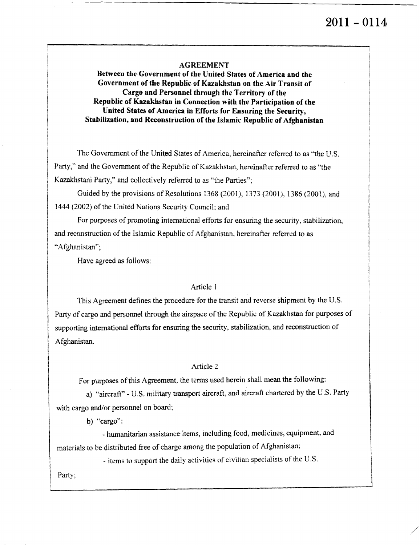# 2011 – 0114

#### **AGREEMENT**

**Between the Government of the United States of America and the Government of the Republic of Kazakhstan on the Air Transit of Cargo and Personnel through the Territory of the Republic of Kazakhstan in Connection with the Participation of the United States of America in Efforts for Ensuring the Security, Stabilization, and Reconstruction of the Islamic Republic of Afghanistan**

The Government of the United States of America, hereinafter referred to as "the U.S. Party." and the Government of the Republic of Kazakhstan, hereinafter referred to as "the Kazakhstani Party," and collectively referred to as "the Parties";

Guided by the provisions of Resolutions 1368 (2001). 1373 (2001), 1386 (2001), and 1444 (2002) of the United Nations Security Council: and

For purposes of promoting international efforts for ensuring the security, stabilization, and reconstruction of the Islamic Republic of Afghanistan, hereinafter referred to as -Afghanistan";

Have agreed as follows:

#### Article 1

This Agreement defines the procedure for the transit and reverse shipment by the U.S. Party of cargo and personnel through the airspace of the Republic of Kazakhstan for purposes of supporting international efforts for ensuring the security, stabilization, and reconstruction of Afghanistan.

#### Article 2

For purposes of this Agreement, the terms used herein shall mean the following:

a) "aircraft" - U.S. military transport aircraft, and aircraft chartered by the U.S. Party with cargo and/or personnel on board;

b) "cargo":

- humanitarian assistance items, including food, medicines, equipment, and materials to be distributed free of charge among the population of Afghanistan;

- items to support the daily activities of civilian specialists of the U.S.

Party;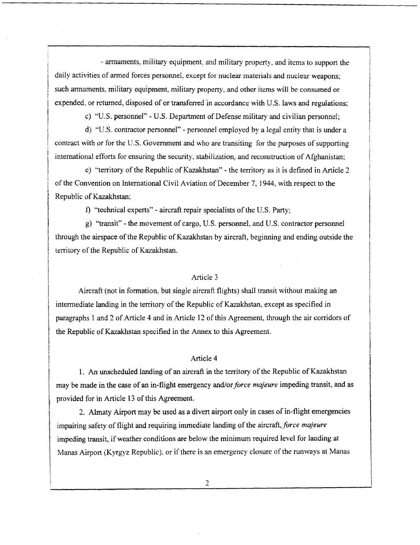- armaments, military equipment, and military property. and items to support the daily activities of armed forces personnel, except for nuclear materials and nuclear weapons; such armaments, military equipment, military property. and other items will be consumed or expended, or returned, disposed of or transferred in accordance with U.S. laws and regulations;

c) "U.S. personnel" - U.S. Department of Defense military and civilian personnel;

d) "U.S. contractor personnel" - personnel employed by a legal entity that is under a contract with or for the U.S. Government and who are transiting for the purposes of supporting international efforts for ensuring the security, stabilization, and reconstruction of Afghanistan;

e) "territory of the Republic of Kazakhstan" - the territory as it is defined in Article 2 of the Convention on International Civil Aviation of December 7, 1944, with respect to the Republic of Kazakhstan;

f) "technical experts" - aircraft repair specialists of the U.S. Party;

*g)* "transit" - the movement of cargo, U.S. personnel, and U.S. contractor personnel through the airspace of the Republic of Kazakhstan by aircraft, beginning and ending outside the territory of the Republic of Kazakhstan.

## Article 3

Aircraft (not in formation, but single aircraft flights) shall transit without making an intermediate landing in the territory of the Republic of Kazakhstan, except as specified in paragraphs 1 and 2 of Article 4 and in Article 12 of this Agreement, through the air corridors of the Republic of Kazakhstan specified in the Annex to this Agreement.

#### Article 4

1. An unscheduled landing of an aircraft in the territory of the Republic of Kazakhstan may be made in the case of an in-flight emergency and/or *force majeure* impeding transit, and as provided for in Article 13 of this Agreement.

2. Almaty Airport may be used as a divert airport only in cases of in-flight emergencies impairing safety of flight and requiring immediate landing of the aircraft, *force majeure* impeding transit, if weather conditions are below the minimum required level for landing at Manas Airport (Kyrgyz Republic). or if there is an emergency closure of the runways at Manas

 $\overline{2}$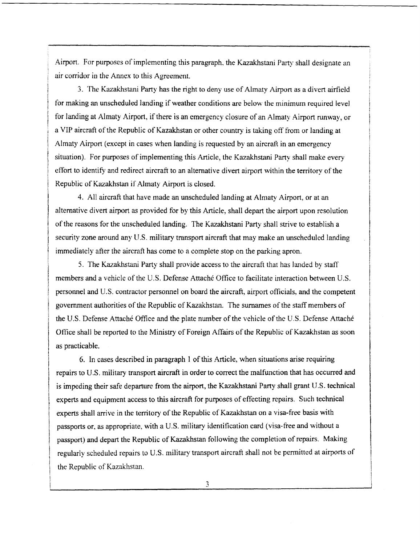Airport. For purposes of implementing this paragraph, the Kazakhstani Party shall designate an air corridor in the Annex to this Agreement.

3. The Kazakhstani Party has the right to deny use of Almaty Airport as a divert airfield for making an unscheduled landing if weather conditions are below the minimum required level for landing at Almaty Airport, if there is an emergency closure of an Almaty Airport runway, or a VIP aircraft of the Republic of Kazakhstan or other country is taking off from or landing at Almaty Airport (except in cases when landing is requested by an aircraft in an emergency situation). For purposes of implementing this Article, the Kazakhstani Party shall make every effort to identify and redirect aircraft to an alternative divert airport within the territory of the Republic of Kazakhstan if Almaty Airport is closed.

4. All aircraft that have made an unscheduled landing at Almaty Airport, or at an alternative divert airport as provided for by this Article, shall depart the airport upon resolution of the reasons for the unscheduled landing. The Kazakhstani Party shall strive to establish a security zone around any U.S. military transport aircraft that may make an unscheduled landing immediately after the aircraft has come to a complete stop on the parking apron.

5. The Kazakhstani Party shall provide access to the aircraft that has landed by staff members and a vehicle of the U.S. Defense Attaché Office to facilitate interaction between U.S. personnel and U.S. contractor personnel on board the aircraft, airport officials, and the competent government authorities of the Republic of Kazakhstan. The surnames of the staff members of the U,S. Defense Attache Office and the plate number of the vehicle of the U.S. Defense Attaché Office shall be reported to the Ministry of Foreign Affairs of the Republic of Kazakhstan as soon as practicable.

6. In cases described in paragraph 1 of this Article, when situations arise requiring repairs to U.S. military transport aircraft in order to correct the malfunction that has occurred and is impeding their safe departure from the airport, the Kazakhstani Party shall grant U.S. technical experts and equipment access to this aircraft for purposes of effecting repairs. Such technical experts shall arrive in the territory of the Republic of Kazakhstan on a visa-free basis with passports or, as appropriate, with a U.S. military identification card (visa-free and without a passport) and depart the Republic of Kazakhstan following the completion of repairs. Making regularly scheduled repairs to U.S. military transport aircraft shall not be permitted at airports of the Republic of Kazakhstan.

 $\overline{3}$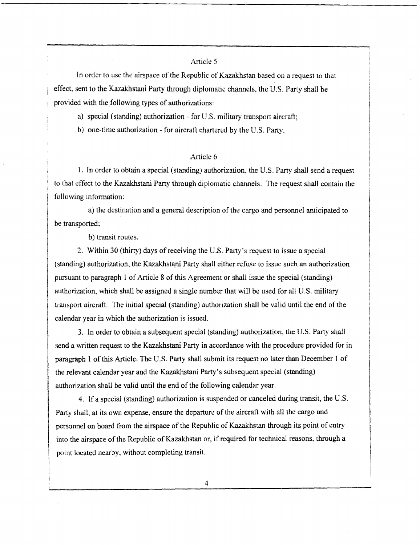In order to use the airspace of the Republic of Kazakhstan based on a request to that effect. sent to the Kazakhstani Party through diplomatic channels, the U.S. Party shall he provided with the following types of authorizations:

a) special (standing) authorization - for U.S. military transport aircraft;

b) one-time authorization - for aircraft chartered by the U.S. Party.

### Article 6

I. In order to obtain a special (standing) authorization, the U.S. Party shall send a request to that effect to the Kazakhstani Party through diplomatic channels. The request shall contain the following information:

a) the destination and a general description of the cargo and personnel anticipated to be transported;

b) transit routes.

2. Within 30 (thirty) days of receiving the U.S. Party's request to issue a special (standing) authorization, the Kazakhstani Party shall either refuse to issue such an authorization pursuant to paragraph 1 of Article 8 of this Agreement or shall issue the special (standing) authorization, which shall he assigned a single number that will be used for all U.S. military transport aircraft. The initial special (standing) authorization shall be valid until the end of the calendar year in which the authorization is issued.

3. In order to obtain a subsequent special (standing) authorization, the U.S. Party shall send a written request to the Kazakhstani Party in accordance with the procedure provided for in paragraph 1 of this Article. The U.S. Party shall submit its request no later than December 1 of the relevant calendar year and the Kazakhstani Party's subsequent special (standing) authorization shall be valid until the end of the following calendar year.

4. If a special (standing) authorization is suspended or canceled during transit, the U.S. Party shall, at its own expense, ensure the departure of the aircraft with all the cargo and personnel on board from the airspace of the Republic of Kazakhstan through its point of entry into the airspace of the Republic of Kazakhstan or. if required for technical reasons, through a point located nearby, without completing transit.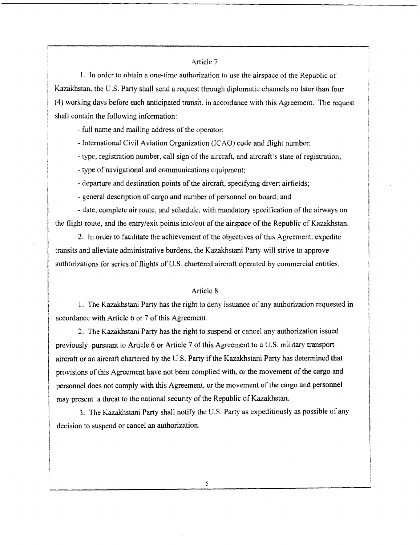1. In order to obtain a one-time authorization to use the airspace of the Republic of Kazakhstan, the U.S. Party shall send a request through diplomatic channels no later than four (4) working days before each anticipated transit, in accordance with this Agreement. The request shall contain the following information:

- full name and mailing address of the operator;

- International Civil Aviation Organization (ICAO) code and flight number;

- type, registration number, call sign of the aircraft. and aircraft's state of registration;

- type of navigational and communications equipment;

'departure and destination points of the aircraft, specifying divert airfields;

- general description of cargo and number of personnel on board; and

- date. complete air route, and schedule, with mandatory specification of the airways on the flight route, and the entry/exit points into/out of the airspace of the Republic of Kazakhstan.

2. In order to facilitate the achievement of the objectives of this Agreement. expedite transits and alleviate administrative burdens, the Kazakhstani Party will strive to approve authorizations for series of flights of U.S. chartered aircraft operated by commercial entities.

#### Article 8

I. The Kazakhstani Party has the right to deny issuance of any authorization requested in accordance with Article 6 or 7 of this Agreement.

2. The Kazakhstani Party has the right to suspend or cancel any authorization issued previously pursuant to Article 6 or Article 7 of this Agreement to a U.S. military transport aircraft or an aircraft chartered by the U.S. Party if the Kazakhstani Party has determined that provisions of this Agreement have not been complied with, or the movement of the cargo and personnel does not comply with this Agreement. or the movement of the cargo and personnel may present a threat to the national security of the Republic of Kazakhstan.

3. The Kazakhstani Party shall notify the U.S. Party as expeditiously as possible of any decision to suspend or cancel an authorization.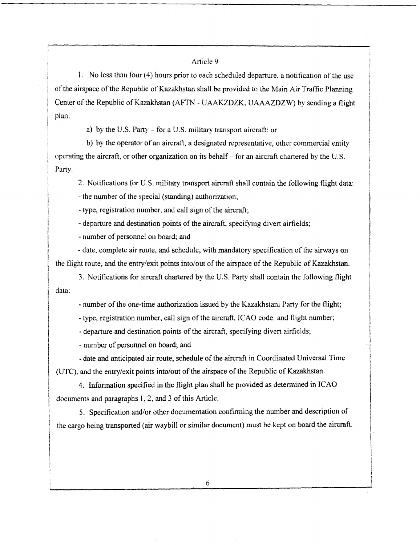I. No less than four (4) hours prior to each scheduled departure, a notification of the use of the airspace of the Republic of Kazakhstan shall be provided to the Main Air Traffic Planning Center of the Republic of Kazakhstan (AFTN - UAAKZDZK. UAAAZDZW) by sending a flight plan:

a) by the U.S. Party — for a U.S. military transport aircraft; or

b) by the operator of an aircraft, a designated representative, other commercial entity operating the aircraft, or other organization on its behalf— for an aircraft chartered by the U.S. Party.

2. Notifications for U.S. military transport aircraft shall contain the following flight data:

- the number of the special (standing) authorization;

- type. registration number, and call sign of the aircraft;

- departure and destination points of the aircraft, specifying divert airfields;

- number of personnel on board; and

- date, complete air route, and schedule, with mandatory specification of the airways on the flight route, and the entry/exit points into/out of the airspace of the Republic of Kazakhstan.

3. Notifications for aircraft chartered by the U.S. Party shall contain the following flight data:

- number of the one-time authorization issued by the Kazakhstani Party for the flight;

- type, registration number, call sign of the aircraft, ICAO code. and flight number;

- departure and destination points of the aircraft, specifying divert airfields;

- number of personnel on board; and

- date and anticipated air route, schedule of the aircraft in Coordinated Universal Time (UTC), and the entry/exit points into/out of the airspace of the Republic of Kazakhstan.

4. Information specified in the flight plan shall be provided as determined in ICAO documents and paragraphs 1, 2. and 3 of this Article.

5. Specification and/or other documentation confirming the number and description of the cargo being transported (air waybill or similar document) must be kept on board the aircraft.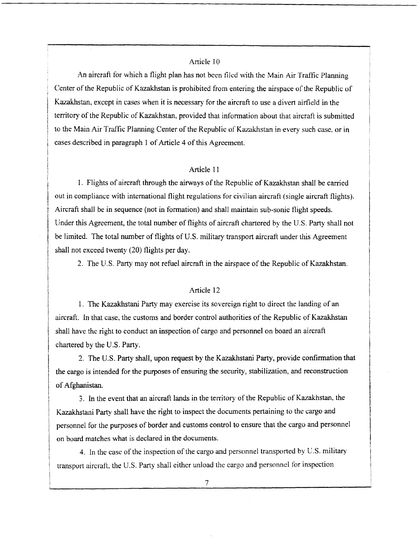An aircraft for which a flight plan has not been tiled with the Main Air Traffic Planning Center of the Republic of Kazakhstan is prohibited from entering the airspace of the Republic of Kazakhstan, except in cases when it is necessary for the aircraft to use a divert airfield in the territory of the Republic of Kazakhstan, provided that information about that aircraft is submitted to the Main Air Traffic Planning Center of the Republic of Kazakhstan in every such case. or in cases described in paragraph 1 of Article 4 of this Agreement.

## Article 11

1. Flights of aircraft through the airways of the Republic of Kazakhstan shall be carried out in compliance with international flight regulations for civilian aircraft (single aircraft flights). Aircraft shall be in sequence (not in formation) and shall maintain sub-sonic flight speeds. Under this Agreement, the total number of flights of aircraft chartered by the U.S. Party shall not be limited. The total number of flights of U.S. military transport aircraft under this Agreement shall not exceed twenty (20) flights per day.

2. The U.S. Party may not refuel aircraft in the airspace of the Republic of Kazakhstan.

#### Article 12

1. The Kazakhstani Party may exercise its sovereign right to direct the landing of an aircraft. In that case, the customs and border control authorities of the Republic of Kazakhstan shall have the right to conduct an inspection of cargo and personnel on board an aircraft chartered by the U.S. Party.

2. The U.S. Party shall, upon request by the Kazakhstani Party, provide confirmation that the cargo is intended for the purposes of ensuring the security, stabilization, and reconstruction of Afghanistan.

3. In the event that an aircraft lands in the territory of the Republic of Kazakhstan, the Kazakhstani Party shall have the right to inspect the documents pertaining to the cargo and personnel for the purposes of border and customs control to ensure that the cargo and personnel on board matches what is declared in the documents.

4. In the case of the inspection of the cargo and personnel transported by U.S. military transport aircraft, the U.S. Party shall either unload the cargo and personnel for inspection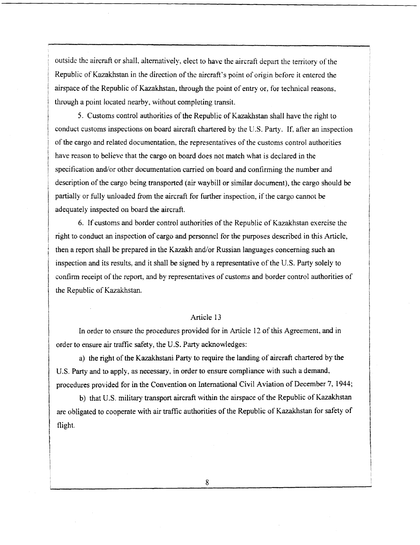outside the aircraft or shall, alternatively, elect to have the aircraft depart the territory of the Republic of Kazakhstan in the direction of the aircraft's point of origin before it entered the airspace of the Republic of Kazakhstan. through the point of entry or, for technical reasons. through a point located nearby, without completing transit.

5. Customs control authorities of the Republic of Kazakhstan shall have the right to conduct customs inspections on board aircraft chartered by the U.S. Party. lf, after an inspection of the cargo and related documentation, the representatives of the customs control authorities have reason to believe that the cargo on board does not match what is declared in the specification and/or other documentation carried on board and confirming the number and description of the cargo being transported (air waybill or similar document), the cargo should be partially or fully unloaded from the aircraft for further inspection, if the cargo cannot be adequately inspected on board the aircraft.

6. If customs and border control authorities of the Republic of Kazakhstan exercise the right to conduct an inspection of cargo and personnel for the purposes described in this Article, then a report shall be prepared in the Kazakh and/or Russian languages concerning such an inspection and its results, and it shall be signed by a representative of the U.S. Party solely to confirm receipt of the report, and by representatives of customs and border control authorities of the Republic of Kazakhstan.

#### Article 13

In order to ensure the procedures provided for in Article 12 of this Agreement, and in order to ensure air traffic safety, the U.S. Party acknowledges:

a) the right of the Kazakhstani Party to require the landing of aircraft chartered by the U.S. Party and to apply, as necessary, in order to ensure compliance with such a demand, procedures provided for in the Convention on International Civil Aviation of December 7, 1944;

b) that U.S. military transport aircraft within the airspace of the Republic of Kazakhstan are obligated to cooperate with air traffic authorities of the Republic of Kazakhstan for safety of flight.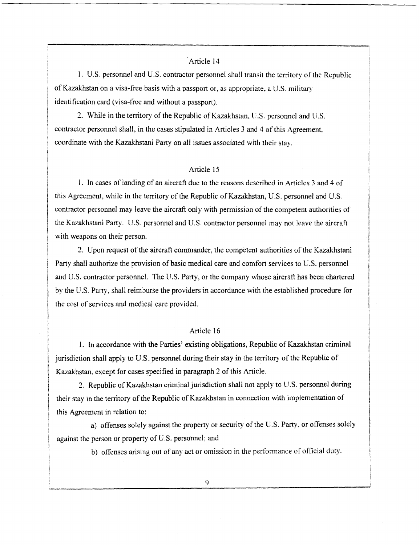1. U.S. personnel and U.S. contractor personnel shall transit the territory of the Republic of Kazakhstan on a visa-free basis with a passport or, as appropriate, a U.S. military identification card (visa-free and without a passport).

2. While in the territory of the Republic of Kazakhstan. U.S. personnel and U.S. contractor personnel shall, in the cases stipulated in Articles 3 and 4 of this Agreement, coordinate with the Kazakhstani Party on all issues associated with their stay.

## Article 15

1. In cases of landing of an aircraft due to the reasons described in Articles 3 and 4 of this Agreement, while in the territory of the Republic of Kazakhstan. U.S. personnel and U.S. contractor personnel may leave the aircraft only with permission of the competent authorities of the Kazaldistani Party. U.S. personnel and U.S. contractor personnel may not leave the aircraft with weapons on their person.

2. Upon request of the aircraft commander, the competent authorities of the Kazakhstani Party shall authorize the provision of basic medical care and comfort services to U.S. personnel and U.S. contractor personnel. The U.S. Party, or the company whose aircraft has been chartered by the U.S. Party, shall reimburse the providers in accordance with the established procedure for the cost of services and medical care provided.

## Article 16

I. In accordance with the Parties' existing obligations. Republic of Kazakhstan criminal jurisdiction shall apply to U.S. personnel during their stay in the territory of the Republic of Kazakhstan, except for cases specified in paragraph 2 of this Article.

2. Republic of Kazakhstan criminal jurisdiction shall not apply to U.S. personnel during their stay in the territory of the Republic of Kazakhstan in connection with implementation of this Agreement in relation to:

a) offenses solely against the property or security of the U.S. Party, or offenses solely against the person or property of U.S. personnel; and

b) offenses arising out of any act or omission in the performance of official duty.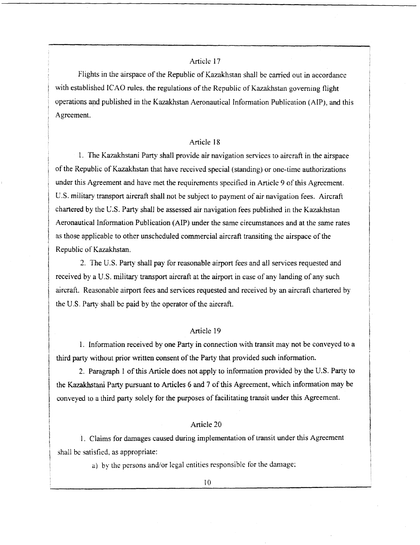Flights in the airspace of the Republic of Kazakhstan shall be carried out in accordance with established ICAO rules, the regulations of the Republic of Kazakhstan governing flight operations and published in the Kazakhstan Aeronautical information Publication (AIP), and this Agreement.

#### Article 18

1. The Kazakhstani Party shall provide air navigation services to aircraft in the airspace of the Republic of Kazakhstan that have received special (standing) or one-time authorizations under this Agreement and have met the requirements specified in Article 9 of this Agreement. U.S. military transport aircraft shall not be subject to payment of air navigation fees. Aircraft chartered by the U.S. Party shall be assessed air navigation fees published in the Kazakhstan Aeronautical Information Publication (AIP) under the same circumstances and at the same rates as those applicable to other unscheduled commercial aircraft transiting the airspace of the Republic of Kazakhstan.

2. The U.S. Party shall pay for reasonable airport fees and all services requested and received by a U.S. military transport aircraft at the airport in case of any landing of any such aircraft. Reasonable airport fees and services requested and received by an aircraft chartered by the U.S. Party shall be paid by the operator of the aircraft.

## Article 19

1. Information received by one Party in connection with transit may not be conveyed to a third party without prior written consent of the Party that provided such information.

2. Paragraph 1 of this Article does not apply to information provided by the U.S. Party to the Kazakhstani Party pursuant to Articles 6 and 7 of this Agreement, which information may be conveyed to a third party solely for the purposes of facilitating transit under this Agreement.

## Article 20

1. Claims for damages caused during implementation of transit under this Agreement shall be satisfied. as appropriate:

a) by the persons and/or legal entities responsible for the damage;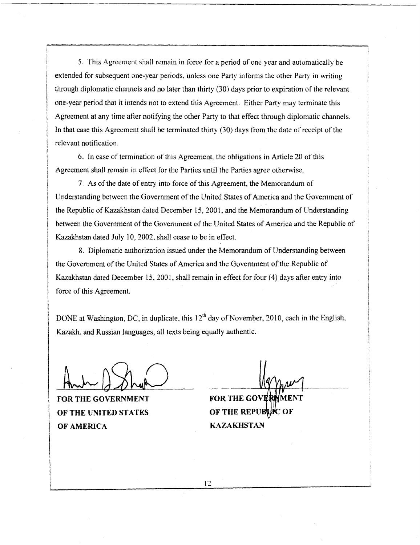5. This Agreement shall remain in force for a period of one year and automatically be extended for subsequent one-year periods, unless one Party informs the other Party in writing through diplomatic channels and no later than thirty (30) days prior to expiration of the relevant one-year period that it intends not to extend this Agreement. Either Party may terminate this Agreement at any time after notifying the other Party to that effect through diplomatic channels, In that case this Agreement shall be terminated thirty  $(30)$  days from the date of receipt of the relevant notification.

6. In case of termination of this Agreement. the obligations in Article 20 of this Agreement shall remain in effect for the Parties until the Parties agree otherwise.

7. As of the date of entry into force of this Agreement, the Memorandum of Understanding between the Government of the United States of America and the Government of the Republic of Kazakhstan dated December 15, 2001, and the Memorandum of Understanding between the Government of the Government of the United States of America and the Republic of Kazakhstan dated July 10, 2002, shall cease to be in effect.

8. Diplomatic authorization issued under the Memorandum of Understanding between the Government of the United States of America and the Government of the Republic of Kazakhstan dated December 15, 2001, shall remain in effect for four (4) days after entry into force of this Agreement.

DONE at Washington, DC, in duplicate, this  $12<sup>th</sup>$  day of November, 2010, each in the English, Kazakh, and Russian languages, all texts being equally authentic.

FOR THE GOVERNMENT FOR THE GOVE OF THE UNITED STATES OF AMERICA KAZAKHSTAN

ENT OF THE REPUBLIC OF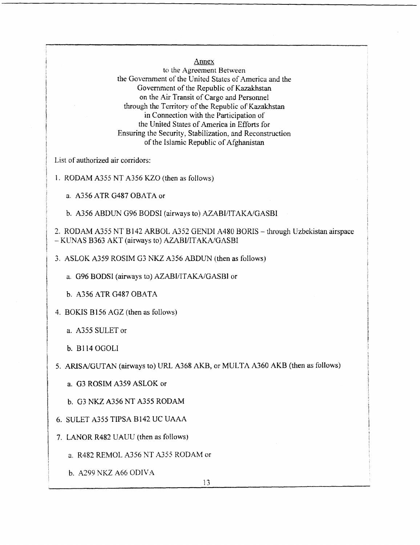Annex

to the Agreement Between the Government of the United States of America and the Government of the Republic of Kazakhstan on the Air Transit of Cargo and Personnel through the Territory of the Republic of Kazakhstan in Connection with the Participation of the United States of America in Efforts for Ensuring the Security, Stabilization, and Reconstruction of the Islamic Republic of Afghanistan

List of authorized air corridors:

1. RODAM A355 NT A356 KZO (then as follows)

a. A356 AIR G487 OBATA or

b. A356 ABDUN G96 BODSI (airways to) AZABI/ITAKA/GASBI

2. RODAM A355 NT B142 ARBOL A352 GENDI A480 BORIS — through Uzbekistan airspace — KIJNAS B363 AKT (airways to) AZABI/ITAKA/GASBI

3. ASLOK A359 ROSIM G3 NKZ A356 ABDUN (then as follows)

a. G96 BODSI (airways to) AZABI/ITAKA/GASBI or

b. A356 ATR G487 OBATA

4. BOKIS B156 AGZ (then as follows)

a. A355 SULET or

b. BI 14 OGOLI

5. ARISA/GUTAN (airways to) URL A368 AKB, or MULTA A360 AKB (then as follows)

a. 03 ROSIM A359 ASLOK or

b. 03 NKZ A356 NT A355 RODAM

6. SULET A355 TIPSA B142 UC UAAA

7. LANOR R482 UAUU (then as follows)

a. R482 REMOL A356 NT A355 RODAM or

b. A299 NKZ A66 ODIVA